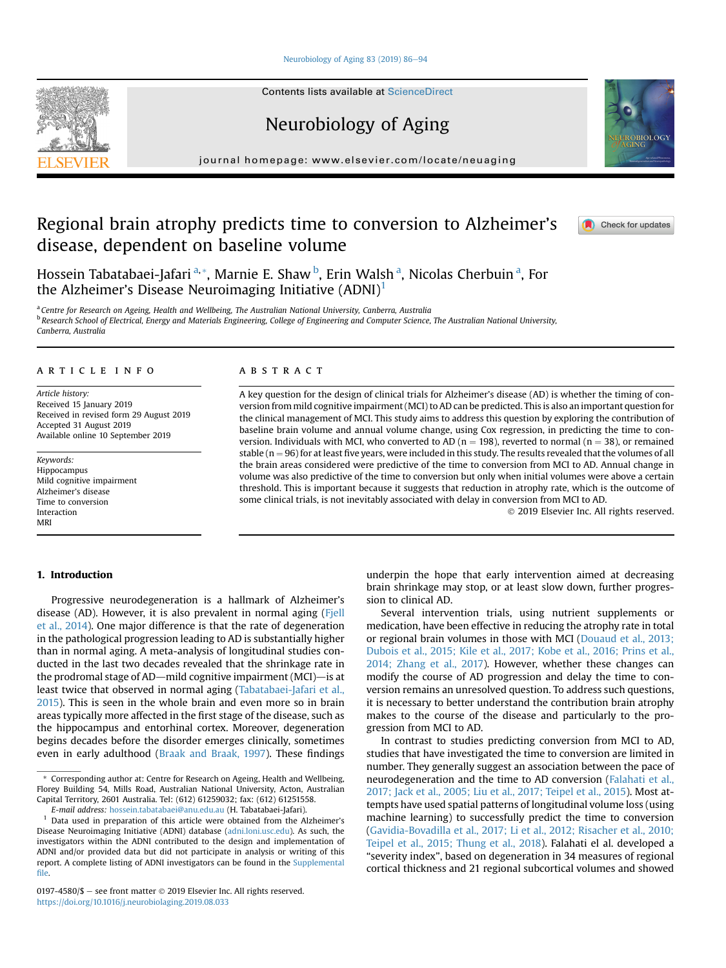#### [Neurobiology of Aging 83 \(2019\) 86](https://doi.org/10.1016/j.neurobiolaging.2019.08.033)-[94](https://doi.org/10.1016/j.neurobiolaging.2019.08.033)

**Contents lists available at ScienceDirect** 

Neurobiology of Aging

journal homepage: [www.elsevier.com/locate/neuaging](http://www.elsevier.com/locate/neuaging)

# Regional brain atrophy predicts time to conversion to Alzheimer's disease, dependent on baseline volume

Hossein Tabatabaei-Jafari <sup>a,</sup>\*, Marnie E. Shaw <sup>b</sup>, Erin Walsh <sup>a</sup>, Nicolas Cherbuin <sup>a</sup>, For the Alzheimer's Disease Neuroimaging Initiative  $(ADNI)^1$ 

<sup>a</sup> Centre for Research on Ageing, Health and Wellbeing, The Australian National University, Canberra, Australia <sup>b</sup> Research School of Electrical, Energy and Materials Engineering, College of Engineering and Computer Science, The Australian National University, Canberra, Australia

## article info

Article history: Received 15 January 2019 Received in revised form 29 August 2019 Accepted 31 August 2019 Available online 10 September 2019

Keywords: Hippocampus Mild cognitive impairment Alzheimer's disease Time to conversion Interaction MRI

## ABSTRACT

A key question for the design of clinical trials for Alzheimer's disease (AD) is whether the timing of conversion from mild cognitive impairment (MCI) to AD can be predicted. This is also an important question for the clinical management of MCI. This study aims to address this question by exploring the contribution of baseline brain volume and annual volume change, using Cox regression, in predicting the time to conversion. Individuals with MCI, who converted to AD ( $n = 198$ ), reverted to normal ( $n = 38$ ), or remained stable ( $n = 96$ ) for at least five years, were included in this study. The results revealed that the volumes of all the brain areas considered were predictive of the time to conversion from MCI to AD. Annual change in volume was also predictive of the time to conversion but only when initial volumes were above a certain threshold. This is important because it suggests that reduction in atrophy rate, which is the outcome of some clinical trials, is not inevitably associated with delay in conversion from MCI to AD.

2019 Elsevier Inc. All rights reserved.

## 1. Introduction

Progressive neurodegeneration is a hallmark of Alzheimer's disease (AD). However, it is also prevalent in normal aging [\(Fjell](#page-7-0) [et al., 2014\)](#page-7-0). One major difference is that the rate of degeneration in the pathological progression leading to AD is substantially higher than in normal aging. A meta-analysis of longitudinal studies conducted in the last two decades revealed that the shrinkage rate in the prodromal stage of AD—mild cognitive impairment (MCI)—is at least twice that observed in normal aging ([Tabatabaei-Jafari et al.,](#page-8-0) [2015](#page-8-0)). This is seen in the whole brain and even more so in brain areas typically more affected in the first stage of the disease, such as the hippocampus and entorhinal cortex. Moreover, degeneration begins decades before the disorder emerges clinically, sometimes even in early adulthood [\(Braak and Braak, 1997](#page-7-0)). These findings

underpin the hope that early intervention aimed at decreasing brain shrinkage may stop, or at least slow down, further progression to clinical AD.

Several intervention trials, using nutrient supplements or medication, have been effective in reducing the atrophy rate in total or regional brain volumes in those with MCI [\(Douaud et al., 2013;](#page-7-0) [Dubois et al., 2015; Kile et al., 2017; Kobe et al., 2016; Prins et al.,](#page-7-0) [2014; Zhang et al., 2017](#page-7-0)). However, whether these changes can modify the course of AD progression and delay the time to conversion remains an unresolved question. To address such questions, it is necessary to better understand the contribution brain atrophy makes to the course of the disease and particularly to the progression from MCI to AD.

In contrast to studies predicting conversion from MCI to AD, studies that have investigated the time to conversion are limited in number. They generally suggest an association between the pace of neurodegeneration and the time to AD conversion ([Falahati et al.,](#page-7-0) [2017; Jack et al., 2005; Liu et al., 2017; Teipel et al., 2015](#page-7-0)). Most attempts have used spatial patterns of longitudinal volume loss (using machine learning) to successfully predict the time to conversion ([Gavidia-Bovadilla et al., 2017; Li et al., 2012; Risacher et al., 2010;](#page-7-0) [Teipel et al., 2015; Thung et al., 2018\)](#page-7-0). Falahati el al. developed a "severity index", based on degeneration in 34 measures of regional cortical thickness and 21 regional subcortical volumes and showed





Check for updates

<sup>\*</sup> Corresponding author at: Centre for Research on Ageing, Health and Wellbeing, Florey Building 54, Mills Road, Australian National University, Acton, Australian Capital Territory, 2601 Australia. Tel: (612) 61259032; fax: (612) 61251558.

E-mail address: [hossein.tabatabaei@anu.edu.au](mailto:hossein.tabatabaei@anu.edu.au) (H. Tabatabaei-Jafari).

<sup>&</sup>lt;sup>1</sup> Data used in preparation of this article were obtained from the Alzheimer's Disease Neuroimaging Initiative (ADNI) database [\(adni.loni.usc.edu](http://adni.loni.usc.edu)). As such, the investigators within the ADNI contributed to the design and implementation of ADNI and/or provided data but did not participate in analysis or writing of this report. A complete listing of ADNI investigators can be found in the Supplemental file.

<sup>0197-4580/\$ -</sup> see front matter  $\odot$  2019 Elsevier Inc. All rights reserved. <https://doi.org/10.1016/j.neurobiolaging.2019.08.033>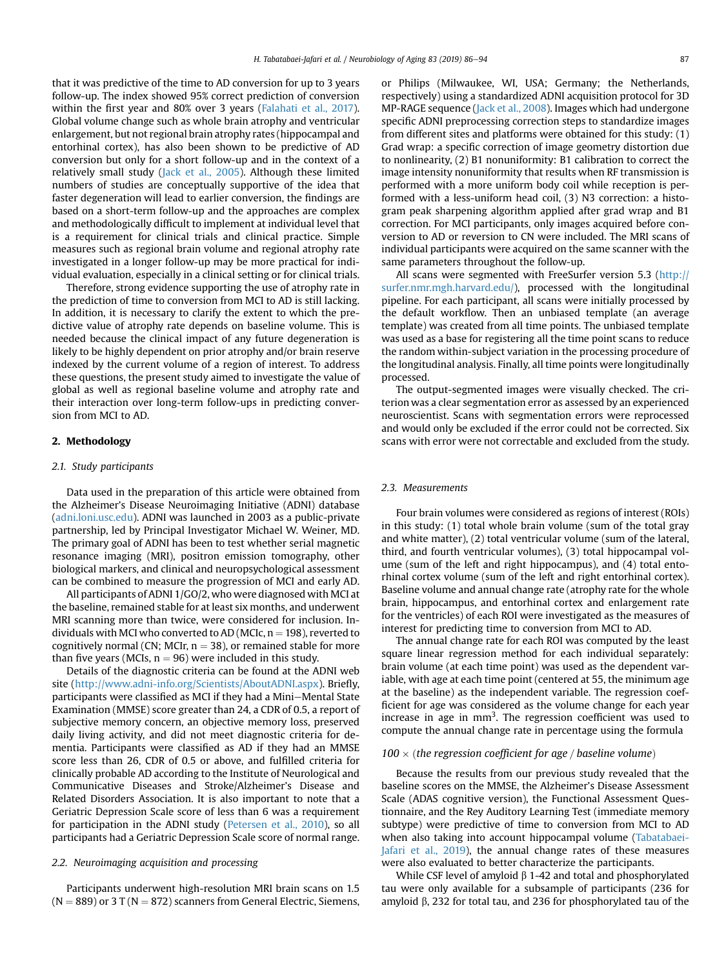that it was predictive of the time to AD conversion for up to 3 years follow-up. The index showed 95% correct prediction of conversion within the first year and 80% over 3 years [\(Falahati et al., 2017](#page-7-0)). Global volume change such as whole brain atrophy and ventricular enlargement, but not regional brain atrophy rates (hippocampal and entorhinal cortex), has also been shown to be predictive of AD conversion but only for a short follow-up and in the context of a relatively small study ([Jack et al., 2005](#page-7-0)). Although these limited numbers of studies are conceptually supportive of the idea that faster degeneration will lead to earlier conversion, the findings are based on a short-term follow-up and the approaches are complex and methodologically difficult to implement at individual level that is a requirement for clinical trials and clinical practice. Simple measures such as regional brain volume and regional atrophy rate investigated in a longer follow-up may be more practical for individual evaluation, especially in a clinical setting or for clinical trials.

Therefore, strong evidence supporting the use of atrophy rate in the prediction of time to conversion from MCI to AD is still lacking. In addition, it is necessary to clarify the extent to which the predictive value of atrophy rate depends on baseline volume. This is needed because the clinical impact of any future degeneration is likely to be highly dependent on prior atrophy and/or brain reserve indexed by the current volume of a region of interest. To address these questions, the present study aimed to investigate the value of global as well as regional baseline volume and atrophy rate and their interaction over long-term follow-ups in predicting conversion from MCI to AD.

## 2. Methodology

#### 2.1. Study participants

Data used in the preparation of this article were obtained from the Alzheimer's Disease Neuroimaging Initiative (ADNI) database ([adni.loni.usc.edu\)](http://adni.loni.usc.edu). ADNI was launched in 2003 as a public-private partnership, led by Principal Investigator Michael W. Weiner, MD. The primary goal of ADNI has been to test whether serial magnetic resonance imaging (MRI), positron emission tomography, other biological markers, and clinical and neuropsychological assessment can be combined to measure the progression of MCI and early AD.

All participants of ADNI 1/GO/2, who were diagnosed with MCI at the baseline, remained stable for at least six months, and underwent MRI scanning more than twice, were considered for inclusion. Individuals with MCI who converted to AD (MCIc,  $n = 198$ ), reverted to cognitively normal (CN; MCIr,  $n = 38$ ), or remained stable for more than five years (MCIs,  $n = 96$ ) were included in this study.

Details of the diagnostic criteria can be found at the ADNI web site [\(http://www.adni-info.org/Scientists/AboutADNI.aspx\)](http://www.adni-info.org/Scientists/AboutADNI.aspx). Briefly, participants were classified as MCI if they had a Mini-Mental State Examination (MMSE) score greater than 24, a CDR of 0.5, a report of subjective memory concern, an objective memory loss, preserved daily living activity, and did not meet diagnostic criteria for dementia. Participants were classified as AD if they had an MMSE score less than 26, CDR of 0.5 or above, and fulfilled criteria for clinically probable AD according to the Institute of Neurological and Communicative Diseases and Stroke/Alzheimer's Disease and Related Disorders Association. It is also important to note that a Geriatric Depression Scale score of less than 6 was a requirement for participation in the ADNI study [\(Petersen et al., 2010](#page-7-0)), so all participants had a Geriatric Depression Scale score of normal range.

#### 2.2. Neuroimaging acquisition and processing

Participants underwent high-resolution MRI brain scans on 1.5  $(N = 889)$  or 3 T (N  $= 872$ ) scanners from General Electric, Siemens,

or Philips (Milwaukee, WI, USA; Germany; the Netherlands, respectively) using a standardized ADNI acquisition protocol for 3D MP-RAGE sequence ([Jack et al., 2008](#page-7-0)). Images which had undergone specific ADNI preprocessing correction steps to standardize images from different sites and platforms were obtained for this study: (1) Grad wrap: a specific correction of image geometry distortion due to nonlinearity, (2) B1 nonuniformity: B1 calibration to correct the image intensity nonuniformity that results when RF transmission is performed with a more uniform body coil while reception is performed with a less-uniform head coil, (3) N3 correction: a histogram peak sharpening algorithm applied after grad wrap and B1 correction. For MCI participants, only images acquired before conversion to AD or reversion to CN were included. The MRI scans of individual participants were acquired on the same scanner with the same parameters throughout the follow-up.

All scans were segmented with FreeSurfer version 5.3 [\(http://](http://surfer.nmr.mgh.harvard.edu/) [surfer.nmr.mgh.harvard.edu/](http://surfer.nmr.mgh.harvard.edu/)), processed with the longitudinal pipeline. For each participant, all scans were initially processed by the default workflow. Then an unbiased template (an average template) was created from all time points. The unbiased template was used as a base for registering all the time point scans to reduce the random within-subject variation in the processing procedure of the longitudinal analysis. Finally, all time points were longitudinally processed.

The output-segmented images were visually checked. The criterion was a clear segmentation error as assessed by an experienced neuroscientist. Scans with segmentation errors were reprocessed and would only be excluded if the error could not be corrected. Six scans with error were not correctable and excluded from the study.

#### 2.3. Measurements

Four brain volumes were considered as regions of interest (ROIs) in this study: (1) total whole brain volume (sum of the total gray and white matter), (2) total ventricular volume (sum of the lateral, third, and fourth ventricular volumes), (3) total hippocampal volume (sum of the left and right hippocampus), and (4) total entorhinal cortex volume (sum of the left and right entorhinal cortex). Baseline volume and annual change rate (atrophy rate for the whole brain, hippocampus, and entorhinal cortex and enlargement rate for the ventricles) of each ROI were investigated as the measures of interest for predicting time to conversion from MCI to AD.

The annual change rate for each ROI was computed by the least square linear regression method for each individual separately: brain volume (at each time point) was used as the dependent variable, with age at each time point (centered at 55, the minimum age at the baseline) as the independent variable. The regression coefficient for age was considered as the volume change for each year increase in age in mm<sup>3</sup>. The regression coefficient was used to compute the annual change rate in percentage using the formula

## $100 \times$  (the regression coefficient for age / baseline volume)

Because the results from our previous study revealed that the baseline scores on the MMSE, the Alzheimer's Disease Assessment Scale (ADAS cognitive version), the Functional Assessment Questionnaire, and the Rey Auditory Learning Test (immediate memory subtype) were predictive of time to conversion from MCI to AD when also taking into account hippocampal volume [\(Tabatabaei-](#page-8-0)[Jafari et al., 2019\)](#page-8-0), the annual change rates of these measures were also evaluated to better characterize the participants.

While CSF level of amyloid  $\beta$  1-42 and total and phosphorylated tau were only available for a subsample of participants (236 for amyloid  $\beta$ , 232 for total tau, and 236 for phosphorylated tau of the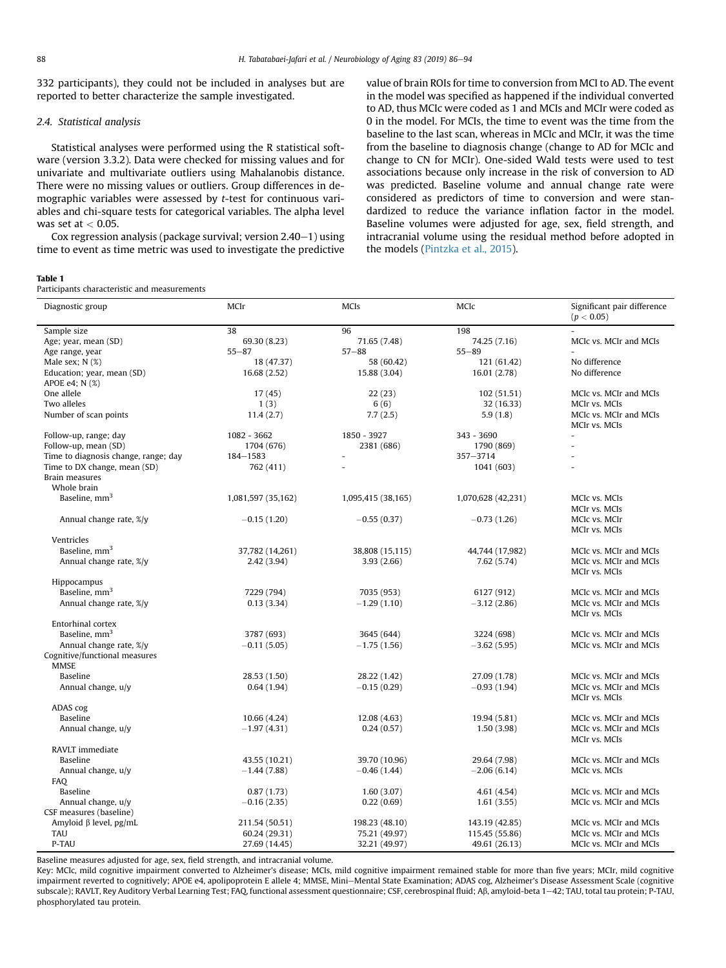<span id="page-2-0"></span>332 participants), they could not be included in analyses but are reported to better characterize the sample investigated.

### 2.4. Statistical analysis

Statistical analyses were performed using the R statistical software (version 3.3.2). Data were checked for missing values and for univariate and multivariate outliers using Mahalanobis distance. There were no missing values or outliers. Group differences in demographic variables were assessed by t-test for continuous variables and chi-square tests for categorical variables. The alpha level was set at  $< 0.05$ .

Cox regression analysis (package survival; version  $2.40-1$ ) using time to event as time metric was used to investigate the predictive

Table 1

Participants characteristic and measurements

value of brain ROIs for time to conversion from MCI to AD. The event in the model was specified as happened if the individual converted to AD, thus MCIc were coded as 1 and MCIs and MCIr were coded as 0 in the model. For MCIs, the time to event was the time from the baseline to the last scan, whereas in MCIc and MCIr, it was the time from the baseline to diagnosis change (change to AD for MCIc and change to CN for MCIr). One-sided Wald tests were used to test associations because only increase in the risk of conversion to AD was predicted. Baseline volume and annual change rate were considered as predictors of time to conversion and were standardized to reduce the variance inflation factor in the model. Baseline volumes were adjusted for age, sex, field strength, and intracranial volume using the residual method before adopted in the models ([Pintzka et al., 2015\)](#page-7-0).

| 38<br>Sample size<br>96<br>198<br>Age; year, mean (SD)<br>74.25 (7.16)<br>MCIC vs. MCIr and MCIs<br>69.30 (8.23)<br>71.65 (7.48)<br>$55 - 87$<br>$57 - 88$<br>$55 - 89$<br>Age range, year<br>Male sex; $N(\%)$<br>18 (47.37)<br>58 (60.42)<br>121 (61.42)<br>No difference<br>16.01 (2.78)<br>No difference<br>Education; year, mean (SD)<br>16.68 (2.52)<br>15.88 (3.04)<br>APOE e4; N (%)<br>One allele<br>MCIC vs. MCIr and MCIs<br>17(45)<br>22 (23)<br>102 (51.51)<br>Two alleles<br>MCIr vs. MCIs<br>1(3)<br>6(6)<br>32 (16.33)<br>Number of scan points<br>MCIc vs. MCIr and MCIs<br>11.4(2.7)<br>7.7(2.5)<br>5.9(1.8)<br>MCIr vs. MCIs<br>1082 - 3662<br>1850 - 3927<br>343 - 3690<br>Follow-up, range; day<br>$\overline{a}$<br>Follow-up, mean (SD)<br>1704 (676)<br>2381 (686)<br>1790 (869)<br>Time to diagnosis change, range; day<br>184-1583<br>357-3714<br>Time to DX change, mean (SD)<br>762 (411)<br>1041 (603)<br><b>Brain measures</b><br>Whole brain<br>Baseline, mm <sup>3</sup><br>MCIc vs. MCIs<br>1,081,597 (35,162)<br>1,095,415 (38,165)<br>1,070,628 (42,231)<br>MCIr vs. MCIs<br>Annual change rate, %/y<br>MCIc vs. MCIr<br>$-0.15(1.20)$<br>$-0.55(0.37)$<br>$-0.73(1.26)$<br>MCIr vs. MCIs<br>Ventricles<br>Baseline, mm <sup>3</sup><br>44,744 (17,982)<br>MCIc vs. MCIr and MCIs<br>37,782 (14,261)<br>38,808 (15,115)<br>Annual change rate, %/y<br>2.42 (3.94)<br>3.93(2.66)<br>7.62 (5.74)<br>MCIc vs. MCIr and MCIs<br>MCIr vs. MCIs<br>Hippocampus<br>Baseline. mm <sup>3</sup><br>7229 (794)<br>6127 (912)<br>MCIC vs. MCIr and MCIs<br>7035 (953)<br>Annual change rate, %/y<br>0.13(3.34)<br>$-1.29(1.10)$<br>$-3.12(2.86)$<br>MCIc vs. MCIr and MCIs<br>MCIr vs. MCIs<br>Entorhinal cortex<br>Baseline, mm <sup>3</sup><br>3787 (693)<br>3645 (644)<br>3224 (698)<br>MCIc vs. MCIr and MCIs<br>Annual change rate, %/y<br>$-0.11(5.05)$<br>$-1.75(1.56)$<br>$-3.62(5.95)$<br>MCIc vs. MCIr and MCIs<br>Cognitive/functional measures<br><b>MMSE</b><br>Baseline<br>MCIc vs. MCIr and MCIs<br>28.53 (1.50)<br>28.22 (1.42)<br>27.09 (1.78)<br>Annual change, u/y<br>$-0.15(0.29)$<br>$-0.93(1.94)$<br>MCIc vs. MCIr and MCIs<br>0.64(1.94)<br>MCIr vs. MCIs<br>ADAS cog<br>Baseline<br>10.66 (4.24)<br>12.08 (4.63)<br>19.94 (5.81)<br>MCIc vs. MCIr and MCIs<br>Annual change, u/y<br>$-1.97(4.31)$<br>0.24(0.57)<br>1.50(3.98)<br>MCIc vs. MCIr and MCIs<br>MCIr vs. MCIs<br>RAVLT immediate<br>Baseline<br>43.55 (10.21)<br>39.70 (10.96)<br>29.64 (7.98)<br>MCIc vs. MCIr and MCIs<br>Annual change, u/y<br>$-1.44(7.88)$<br>$-0.46(1.44)$<br>$-2.06(6.14)$<br>MCIc vs. MCIs<br>FAQ<br>Baseline<br>MCIC vs. MCIr and MCIs<br>0.87(1.73)<br>1.60(3.07)<br>4.61 (4.54)<br>Annual change, u/y<br>0.22(0.69)<br>MCIc vs. MCIr and MCIs<br>$-0.16(2.35)$<br>1.61(3.55)<br>CSF measures (baseline)<br>Amyloid $\beta$ level, pg/mL<br>MCIc vs. MCIr and MCIs<br>211.54 (50.51)<br>198.23 (48.10)<br>143.19 (42.85)<br>TAU<br>MCIc vs. MCIr and MCIs<br>60.24 (29.31)<br>75.21 (49.97)<br>115.45 (55.86)<br>P-TAU<br>27.69 (14.45)<br>49.61 (26.13)<br>MCIc vs. MCIr and MCIs<br>32.21 (49.97) | Diagnostic group | MCIr | <b>MCIs</b> | MCIc | Significant pair difference<br>(p < 0.05) |
|-----------------------------------------------------------------------------------------------------------------------------------------------------------------------------------------------------------------------------------------------------------------------------------------------------------------------------------------------------------------------------------------------------------------------------------------------------------------------------------------------------------------------------------------------------------------------------------------------------------------------------------------------------------------------------------------------------------------------------------------------------------------------------------------------------------------------------------------------------------------------------------------------------------------------------------------------------------------------------------------------------------------------------------------------------------------------------------------------------------------------------------------------------------------------------------------------------------------------------------------------------------------------------------------------------------------------------------------------------------------------------------------------------------------------------------------------------------------------------------------------------------------------------------------------------------------------------------------------------------------------------------------------------------------------------------------------------------------------------------------------------------------------------------------------------------------------------------------------------------------------------------------------------------------------------------------------------------------------------------------------------------------------------------------------------------------------------------------------------------------------------------------------------------------------------------------------------------------------------------------------------------------------------------------------------------------------------------------------------------------------------------------------------------------------------------------------------------------------------------------------------------------------------------------------------------------------------------------------------------------------------------------------------------------------------------------------------------------------------------------------------------------------------------------------------------------------------------------------------------------------------------------------------------------------------------------------------------------------------------------------------------------------------------------------------------------------------------------------------------------------------------------|------------------|------|-------------|------|-------------------------------------------|
|                                                                                                                                                                                                                                                                                                                                                                                                                                                                                                                                                                                                                                                                                                                                                                                                                                                                                                                                                                                                                                                                                                                                                                                                                                                                                                                                                                                                                                                                                                                                                                                                                                                                                                                                                                                                                                                                                                                                                                                                                                                                                                                                                                                                                                                                                                                                                                                                                                                                                                                                                                                                                                                                                                                                                                                                                                                                                                                                                                                                                                                                                                                                         |                  |      |             |      |                                           |
|                                                                                                                                                                                                                                                                                                                                                                                                                                                                                                                                                                                                                                                                                                                                                                                                                                                                                                                                                                                                                                                                                                                                                                                                                                                                                                                                                                                                                                                                                                                                                                                                                                                                                                                                                                                                                                                                                                                                                                                                                                                                                                                                                                                                                                                                                                                                                                                                                                                                                                                                                                                                                                                                                                                                                                                                                                                                                                                                                                                                                                                                                                                                         |                  |      |             |      |                                           |
|                                                                                                                                                                                                                                                                                                                                                                                                                                                                                                                                                                                                                                                                                                                                                                                                                                                                                                                                                                                                                                                                                                                                                                                                                                                                                                                                                                                                                                                                                                                                                                                                                                                                                                                                                                                                                                                                                                                                                                                                                                                                                                                                                                                                                                                                                                                                                                                                                                                                                                                                                                                                                                                                                                                                                                                                                                                                                                                                                                                                                                                                                                                                         |                  |      |             |      |                                           |
|                                                                                                                                                                                                                                                                                                                                                                                                                                                                                                                                                                                                                                                                                                                                                                                                                                                                                                                                                                                                                                                                                                                                                                                                                                                                                                                                                                                                                                                                                                                                                                                                                                                                                                                                                                                                                                                                                                                                                                                                                                                                                                                                                                                                                                                                                                                                                                                                                                                                                                                                                                                                                                                                                                                                                                                                                                                                                                                                                                                                                                                                                                                                         |                  |      |             |      |                                           |
|                                                                                                                                                                                                                                                                                                                                                                                                                                                                                                                                                                                                                                                                                                                                                                                                                                                                                                                                                                                                                                                                                                                                                                                                                                                                                                                                                                                                                                                                                                                                                                                                                                                                                                                                                                                                                                                                                                                                                                                                                                                                                                                                                                                                                                                                                                                                                                                                                                                                                                                                                                                                                                                                                                                                                                                                                                                                                                                                                                                                                                                                                                                                         |                  |      |             |      |                                           |
|                                                                                                                                                                                                                                                                                                                                                                                                                                                                                                                                                                                                                                                                                                                                                                                                                                                                                                                                                                                                                                                                                                                                                                                                                                                                                                                                                                                                                                                                                                                                                                                                                                                                                                                                                                                                                                                                                                                                                                                                                                                                                                                                                                                                                                                                                                                                                                                                                                                                                                                                                                                                                                                                                                                                                                                                                                                                                                                                                                                                                                                                                                                                         |                  |      |             |      |                                           |
|                                                                                                                                                                                                                                                                                                                                                                                                                                                                                                                                                                                                                                                                                                                                                                                                                                                                                                                                                                                                                                                                                                                                                                                                                                                                                                                                                                                                                                                                                                                                                                                                                                                                                                                                                                                                                                                                                                                                                                                                                                                                                                                                                                                                                                                                                                                                                                                                                                                                                                                                                                                                                                                                                                                                                                                                                                                                                                                                                                                                                                                                                                                                         |                  |      |             |      |                                           |
|                                                                                                                                                                                                                                                                                                                                                                                                                                                                                                                                                                                                                                                                                                                                                                                                                                                                                                                                                                                                                                                                                                                                                                                                                                                                                                                                                                                                                                                                                                                                                                                                                                                                                                                                                                                                                                                                                                                                                                                                                                                                                                                                                                                                                                                                                                                                                                                                                                                                                                                                                                                                                                                                                                                                                                                                                                                                                                                                                                                                                                                                                                                                         |                  |      |             |      |                                           |
|                                                                                                                                                                                                                                                                                                                                                                                                                                                                                                                                                                                                                                                                                                                                                                                                                                                                                                                                                                                                                                                                                                                                                                                                                                                                                                                                                                                                                                                                                                                                                                                                                                                                                                                                                                                                                                                                                                                                                                                                                                                                                                                                                                                                                                                                                                                                                                                                                                                                                                                                                                                                                                                                                                                                                                                                                                                                                                                                                                                                                                                                                                                                         |                  |      |             |      |                                           |
|                                                                                                                                                                                                                                                                                                                                                                                                                                                                                                                                                                                                                                                                                                                                                                                                                                                                                                                                                                                                                                                                                                                                                                                                                                                                                                                                                                                                                                                                                                                                                                                                                                                                                                                                                                                                                                                                                                                                                                                                                                                                                                                                                                                                                                                                                                                                                                                                                                                                                                                                                                                                                                                                                                                                                                                                                                                                                                                                                                                                                                                                                                                                         |                  |      |             |      |                                           |
|                                                                                                                                                                                                                                                                                                                                                                                                                                                                                                                                                                                                                                                                                                                                                                                                                                                                                                                                                                                                                                                                                                                                                                                                                                                                                                                                                                                                                                                                                                                                                                                                                                                                                                                                                                                                                                                                                                                                                                                                                                                                                                                                                                                                                                                                                                                                                                                                                                                                                                                                                                                                                                                                                                                                                                                                                                                                                                                                                                                                                                                                                                                                         |                  |      |             |      |                                           |
|                                                                                                                                                                                                                                                                                                                                                                                                                                                                                                                                                                                                                                                                                                                                                                                                                                                                                                                                                                                                                                                                                                                                                                                                                                                                                                                                                                                                                                                                                                                                                                                                                                                                                                                                                                                                                                                                                                                                                                                                                                                                                                                                                                                                                                                                                                                                                                                                                                                                                                                                                                                                                                                                                                                                                                                                                                                                                                                                                                                                                                                                                                                                         |                  |      |             |      |                                           |
|                                                                                                                                                                                                                                                                                                                                                                                                                                                                                                                                                                                                                                                                                                                                                                                                                                                                                                                                                                                                                                                                                                                                                                                                                                                                                                                                                                                                                                                                                                                                                                                                                                                                                                                                                                                                                                                                                                                                                                                                                                                                                                                                                                                                                                                                                                                                                                                                                                                                                                                                                                                                                                                                                                                                                                                                                                                                                                                                                                                                                                                                                                                                         |                  |      |             |      |                                           |
|                                                                                                                                                                                                                                                                                                                                                                                                                                                                                                                                                                                                                                                                                                                                                                                                                                                                                                                                                                                                                                                                                                                                                                                                                                                                                                                                                                                                                                                                                                                                                                                                                                                                                                                                                                                                                                                                                                                                                                                                                                                                                                                                                                                                                                                                                                                                                                                                                                                                                                                                                                                                                                                                                                                                                                                                                                                                                                                                                                                                                                                                                                                                         |                  |      |             |      |                                           |
|                                                                                                                                                                                                                                                                                                                                                                                                                                                                                                                                                                                                                                                                                                                                                                                                                                                                                                                                                                                                                                                                                                                                                                                                                                                                                                                                                                                                                                                                                                                                                                                                                                                                                                                                                                                                                                                                                                                                                                                                                                                                                                                                                                                                                                                                                                                                                                                                                                                                                                                                                                                                                                                                                                                                                                                                                                                                                                                                                                                                                                                                                                                                         |                  |      |             |      |                                           |
|                                                                                                                                                                                                                                                                                                                                                                                                                                                                                                                                                                                                                                                                                                                                                                                                                                                                                                                                                                                                                                                                                                                                                                                                                                                                                                                                                                                                                                                                                                                                                                                                                                                                                                                                                                                                                                                                                                                                                                                                                                                                                                                                                                                                                                                                                                                                                                                                                                                                                                                                                                                                                                                                                                                                                                                                                                                                                                                                                                                                                                                                                                                                         |                  |      |             |      |                                           |
|                                                                                                                                                                                                                                                                                                                                                                                                                                                                                                                                                                                                                                                                                                                                                                                                                                                                                                                                                                                                                                                                                                                                                                                                                                                                                                                                                                                                                                                                                                                                                                                                                                                                                                                                                                                                                                                                                                                                                                                                                                                                                                                                                                                                                                                                                                                                                                                                                                                                                                                                                                                                                                                                                                                                                                                                                                                                                                                                                                                                                                                                                                                                         |                  |      |             |      |                                           |
|                                                                                                                                                                                                                                                                                                                                                                                                                                                                                                                                                                                                                                                                                                                                                                                                                                                                                                                                                                                                                                                                                                                                                                                                                                                                                                                                                                                                                                                                                                                                                                                                                                                                                                                                                                                                                                                                                                                                                                                                                                                                                                                                                                                                                                                                                                                                                                                                                                                                                                                                                                                                                                                                                                                                                                                                                                                                                                                                                                                                                                                                                                                                         |                  |      |             |      |                                           |
|                                                                                                                                                                                                                                                                                                                                                                                                                                                                                                                                                                                                                                                                                                                                                                                                                                                                                                                                                                                                                                                                                                                                                                                                                                                                                                                                                                                                                                                                                                                                                                                                                                                                                                                                                                                                                                                                                                                                                                                                                                                                                                                                                                                                                                                                                                                                                                                                                                                                                                                                                                                                                                                                                                                                                                                                                                                                                                                                                                                                                                                                                                                                         |                  |      |             |      |                                           |
|                                                                                                                                                                                                                                                                                                                                                                                                                                                                                                                                                                                                                                                                                                                                                                                                                                                                                                                                                                                                                                                                                                                                                                                                                                                                                                                                                                                                                                                                                                                                                                                                                                                                                                                                                                                                                                                                                                                                                                                                                                                                                                                                                                                                                                                                                                                                                                                                                                                                                                                                                                                                                                                                                                                                                                                                                                                                                                                                                                                                                                                                                                                                         |                  |      |             |      |                                           |
|                                                                                                                                                                                                                                                                                                                                                                                                                                                                                                                                                                                                                                                                                                                                                                                                                                                                                                                                                                                                                                                                                                                                                                                                                                                                                                                                                                                                                                                                                                                                                                                                                                                                                                                                                                                                                                                                                                                                                                                                                                                                                                                                                                                                                                                                                                                                                                                                                                                                                                                                                                                                                                                                                                                                                                                                                                                                                                                                                                                                                                                                                                                                         |                  |      |             |      |                                           |
|                                                                                                                                                                                                                                                                                                                                                                                                                                                                                                                                                                                                                                                                                                                                                                                                                                                                                                                                                                                                                                                                                                                                                                                                                                                                                                                                                                                                                                                                                                                                                                                                                                                                                                                                                                                                                                                                                                                                                                                                                                                                                                                                                                                                                                                                                                                                                                                                                                                                                                                                                                                                                                                                                                                                                                                                                                                                                                                                                                                                                                                                                                                                         |                  |      |             |      |                                           |
|                                                                                                                                                                                                                                                                                                                                                                                                                                                                                                                                                                                                                                                                                                                                                                                                                                                                                                                                                                                                                                                                                                                                                                                                                                                                                                                                                                                                                                                                                                                                                                                                                                                                                                                                                                                                                                                                                                                                                                                                                                                                                                                                                                                                                                                                                                                                                                                                                                                                                                                                                                                                                                                                                                                                                                                                                                                                                                                                                                                                                                                                                                                                         |                  |      |             |      |                                           |
|                                                                                                                                                                                                                                                                                                                                                                                                                                                                                                                                                                                                                                                                                                                                                                                                                                                                                                                                                                                                                                                                                                                                                                                                                                                                                                                                                                                                                                                                                                                                                                                                                                                                                                                                                                                                                                                                                                                                                                                                                                                                                                                                                                                                                                                                                                                                                                                                                                                                                                                                                                                                                                                                                                                                                                                                                                                                                                                                                                                                                                                                                                                                         |                  |      |             |      |                                           |
|                                                                                                                                                                                                                                                                                                                                                                                                                                                                                                                                                                                                                                                                                                                                                                                                                                                                                                                                                                                                                                                                                                                                                                                                                                                                                                                                                                                                                                                                                                                                                                                                                                                                                                                                                                                                                                                                                                                                                                                                                                                                                                                                                                                                                                                                                                                                                                                                                                                                                                                                                                                                                                                                                                                                                                                                                                                                                                                                                                                                                                                                                                                                         |                  |      |             |      |                                           |
|                                                                                                                                                                                                                                                                                                                                                                                                                                                                                                                                                                                                                                                                                                                                                                                                                                                                                                                                                                                                                                                                                                                                                                                                                                                                                                                                                                                                                                                                                                                                                                                                                                                                                                                                                                                                                                                                                                                                                                                                                                                                                                                                                                                                                                                                                                                                                                                                                                                                                                                                                                                                                                                                                                                                                                                                                                                                                                                                                                                                                                                                                                                                         |                  |      |             |      |                                           |
|                                                                                                                                                                                                                                                                                                                                                                                                                                                                                                                                                                                                                                                                                                                                                                                                                                                                                                                                                                                                                                                                                                                                                                                                                                                                                                                                                                                                                                                                                                                                                                                                                                                                                                                                                                                                                                                                                                                                                                                                                                                                                                                                                                                                                                                                                                                                                                                                                                                                                                                                                                                                                                                                                                                                                                                                                                                                                                                                                                                                                                                                                                                                         |                  |      |             |      |                                           |
|                                                                                                                                                                                                                                                                                                                                                                                                                                                                                                                                                                                                                                                                                                                                                                                                                                                                                                                                                                                                                                                                                                                                                                                                                                                                                                                                                                                                                                                                                                                                                                                                                                                                                                                                                                                                                                                                                                                                                                                                                                                                                                                                                                                                                                                                                                                                                                                                                                                                                                                                                                                                                                                                                                                                                                                                                                                                                                                                                                                                                                                                                                                                         |                  |      |             |      |                                           |
|                                                                                                                                                                                                                                                                                                                                                                                                                                                                                                                                                                                                                                                                                                                                                                                                                                                                                                                                                                                                                                                                                                                                                                                                                                                                                                                                                                                                                                                                                                                                                                                                                                                                                                                                                                                                                                                                                                                                                                                                                                                                                                                                                                                                                                                                                                                                                                                                                                                                                                                                                                                                                                                                                                                                                                                                                                                                                                                                                                                                                                                                                                                                         |                  |      |             |      |                                           |
|                                                                                                                                                                                                                                                                                                                                                                                                                                                                                                                                                                                                                                                                                                                                                                                                                                                                                                                                                                                                                                                                                                                                                                                                                                                                                                                                                                                                                                                                                                                                                                                                                                                                                                                                                                                                                                                                                                                                                                                                                                                                                                                                                                                                                                                                                                                                                                                                                                                                                                                                                                                                                                                                                                                                                                                                                                                                                                                                                                                                                                                                                                                                         |                  |      |             |      |                                           |
|                                                                                                                                                                                                                                                                                                                                                                                                                                                                                                                                                                                                                                                                                                                                                                                                                                                                                                                                                                                                                                                                                                                                                                                                                                                                                                                                                                                                                                                                                                                                                                                                                                                                                                                                                                                                                                                                                                                                                                                                                                                                                                                                                                                                                                                                                                                                                                                                                                                                                                                                                                                                                                                                                                                                                                                                                                                                                                                                                                                                                                                                                                                                         |                  |      |             |      |                                           |
|                                                                                                                                                                                                                                                                                                                                                                                                                                                                                                                                                                                                                                                                                                                                                                                                                                                                                                                                                                                                                                                                                                                                                                                                                                                                                                                                                                                                                                                                                                                                                                                                                                                                                                                                                                                                                                                                                                                                                                                                                                                                                                                                                                                                                                                                                                                                                                                                                                                                                                                                                                                                                                                                                                                                                                                                                                                                                                                                                                                                                                                                                                                                         |                  |      |             |      |                                           |
|                                                                                                                                                                                                                                                                                                                                                                                                                                                                                                                                                                                                                                                                                                                                                                                                                                                                                                                                                                                                                                                                                                                                                                                                                                                                                                                                                                                                                                                                                                                                                                                                                                                                                                                                                                                                                                                                                                                                                                                                                                                                                                                                                                                                                                                                                                                                                                                                                                                                                                                                                                                                                                                                                                                                                                                                                                                                                                                                                                                                                                                                                                                                         |                  |      |             |      |                                           |
|                                                                                                                                                                                                                                                                                                                                                                                                                                                                                                                                                                                                                                                                                                                                                                                                                                                                                                                                                                                                                                                                                                                                                                                                                                                                                                                                                                                                                                                                                                                                                                                                                                                                                                                                                                                                                                                                                                                                                                                                                                                                                                                                                                                                                                                                                                                                                                                                                                                                                                                                                                                                                                                                                                                                                                                                                                                                                                                                                                                                                                                                                                                                         |                  |      |             |      |                                           |
|                                                                                                                                                                                                                                                                                                                                                                                                                                                                                                                                                                                                                                                                                                                                                                                                                                                                                                                                                                                                                                                                                                                                                                                                                                                                                                                                                                                                                                                                                                                                                                                                                                                                                                                                                                                                                                                                                                                                                                                                                                                                                                                                                                                                                                                                                                                                                                                                                                                                                                                                                                                                                                                                                                                                                                                                                                                                                                                                                                                                                                                                                                                                         |                  |      |             |      |                                           |
|                                                                                                                                                                                                                                                                                                                                                                                                                                                                                                                                                                                                                                                                                                                                                                                                                                                                                                                                                                                                                                                                                                                                                                                                                                                                                                                                                                                                                                                                                                                                                                                                                                                                                                                                                                                                                                                                                                                                                                                                                                                                                                                                                                                                                                                                                                                                                                                                                                                                                                                                                                                                                                                                                                                                                                                                                                                                                                                                                                                                                                                                                                                                         |                  |      |             |      |                                           |
|                                                                                                                                                                                                                                                                                                                                                                                                                                                                                                                                                                                                                                                                                                                                                                                                                                                                                                                                                                                                                                                                                                                                                                                                                                                                                                                                                                                                                                                                                                                                                                                                                                                                                                                                                                                                                                                                                                                                                                                                                                                                                                                                                                                                                                                                                                                                                                                                                                                                                                                                                                                                                                                                                                                                                                                                                                                                                                                                                                                                                                                                                                                                         |                  |      |             |      |                                           |
|                                                                                                                                                                                                                                                                                                                                                                                                                                                                                                                                                                                                                                                                                                                                                                                                                                                                                                                                                                                                                                                                                                                                                                                                                                                                                                                                                                                                                                                                                                                                                                                                                                                                                                                                                                                                                                                                                                                                                                                                                                                                                                                                                                                                                                                                                                                                                                                                                                                                                                                                                                                                                                                                                                                                                                                                                                                                                                                                                                                                                                                                                                                                         |                  |      |             |      |                                           |
|                                                                                                                                                                                                                                                                                                                                                                                                                                                                                                                                                                                                                                                                                                                                                                                                                                                                                                                                                                                                                                                                                                                                                                                                                                                                                                                                                                                                                                                                                                                                                                                                                                                                                                                                                                                                                                                                                                                                                                                                                                                                                                                                                                                                                                                                                                                                                                                                                                                                                                                                                                                                                                                                                                                                                                                                                                                                                                                                                                                                                                                                                                                                         |                  |      |             |      |                                           |
|                                                                                                                                                                                                                                                                                                                                                                                                                                                                                                                                                                                                                                                                                                                                                                                                                                                                                                                                                                                                                                                                                                                                                                                                                                                                                                                                                                                                                                                                                                                                                                                                                                                                                                                                                                                                                                                                                                                                                                                                                                                                                                                                                                                                                                                                                                                                                                                                                                                                                                                                                                                                                                                                                                                                                                                                                                                                                                                                                                                                                                                                                                                                         |                  |      |             |      |                                           |
|                                                                                                                                                                                                                                                                                                                                                                                                                                                                                                                                                                                                                                                                                                                                                                                                                                                                                                                                                                                                                                                                                                                                                                                                                                                                                                                                                                                                                                                                                                                                                                                                                                                                                                                                                                                                                                                                                                                                                                                                                                                                                                                                                                                                                                                                                                                                                                                                                                                                                                                                                                                                                                                                                                                                                                                                                                                                                                                                                                                                                                                                                                                                         |                  |      |             |      |                                           |
|                                                                                                                                                                                                                                                                                                                                                                                                                                                                                                                                                                                                                                                                                                                                                                                                                                                                                                                                                                                                                                                                                                                                                                                                                                                                                                                                                                                                                                                                                                                                                                                                                                                                                                                                                                                                                                                                                                                                                                                                                                                                                                                                                                                                                                                                                                                                                                                                                                                                                                                                                                                                                                                                                                                                                                                                                                                                                                                                                                                                                                                                                                                                         |                  |      |             |      |                                           |

Baseline measures adjusted for age, sex, field strength, and intracranial volume.

Key: MCIc, mild cognitive impairment converted to Alzheimer's disease; MCIs, mild cognitive impairment remained stable for more than five years; MCIr, mild cognitive impairment reverted to cognitively; APOE e4, apolipoprotein E allele 4; MMSE, Mini-Mental State Examination; ADAS cog, Alzheimer's Disease Assessment Scale (cognitive subscale); RAVLT, Rey Auditory Verbal Learning Test; FAQ, functional assessment questionnaire; CSF, cerebrospinal fluid; Aß, amyloid-beta 1-42; TAU, total tau protein; P-TAU, phosphorylated tau protein.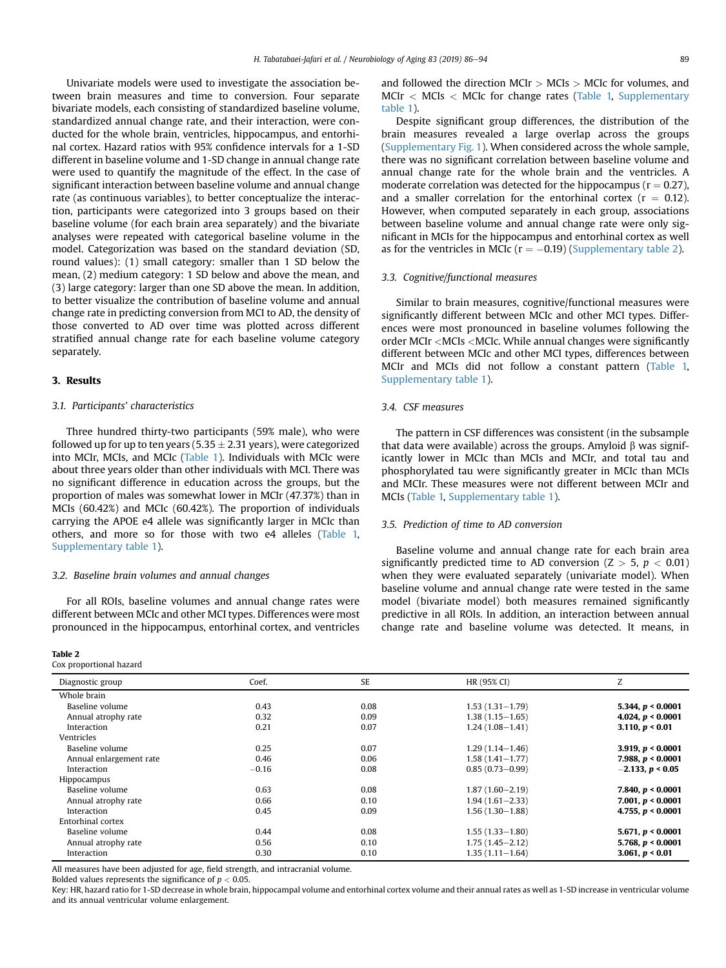<span id="page-3-0"></span>Univariate models were used to investigate the association between brain measures and time to conversion. Four separate bivariate models, each consisting of standardized baseline volume, standardized annual change rate, and their interaction, were conducted for the whole brain, ventricles, hippocampus, and entorhinal cortex. Hazard ratios with 95% confidence intervals for a 1-SD different in baseline volume and 1-SD change in annual change rate were used to quantify the magnitude of the effect. In the case of significant interaction between baseline volume and annual change rate (as continuous variables), to better conceptualize the interaction, participants were categorized into 3 groups based on their baseline volume (for each brain area separately) and the bivariate analyses were repeated with categorical baseline volume in the model. Categorization was based on the standard deviation (SD, round values): (1) small category: smaller than 1 SD below the mean, (2) medium category: 1 SD below and above the mean, and (3) large category: larger than one SD above the mean. In addition, to better visualize the contribution of baseline volume and annual change rate in predicting conversion from MCI to AD, the density of those converted to AD over time was plotted across different stratified annual change rate for each baseline volume category separately.

## 3. Results

## 3.1. Participants' characteristics

Three hundred thirty-two participants (59% male), who were followed up for up to ten years (5.35  $\pm$  2.31 years), were categorized into MCIr, MCIs, and MCIc ([Table 1\)](#page-2-0). Individuals with MCIc were about three years older than other individuals with MCI. There was no significant difference in education across the groups, but the proportion of males was somewhat lower in MCIr (47.37%) than in MCIs (60.42%) and MCIc (60.42%). The proportion of individuals carrying the APOE e4 allele was significantly larger in MCIc than others, and more so for those with two e4 alleles [\(Table 1,](#page-2-0) Supplementary table 1).

### 3.2. Baseline brain volumes and annual changes

For all ROIs, baseline volumes and annual change rates were different between MCIc and other MCI types. Differences were most pronounced in the hippocampus, entorhinal cortex, and ventricles

#### Table 2

Cox proportional hazard

and followed the direction  $MCIr > MCIs > MCIc$  for volumes, and MCI $r$  < MCIs < MCIc for change rates [\(Table 1,](#page-2-0) Supplementary table 1).

Despite significant group differences, the distribution of the brain measures revealed a large overlap across the groups (Supplementary Fig. 1). When considered across the whole sample, there was no significant correlation between baseline volume and annual change rate for the whole brain and the ventricles. A moderate correlation was detected for the hippocampus ( $r = 0.27$ ), and a smaller correlation for the entorhinal cortex ( $r = 0.12$ ). However, when computed separately in each group, associations between baseline volume and annual change rate were only significant in MCIs for the hippocampus and entorhinal cortex as well as for the ventricles in MCIc ( $r = -0.19$ ) (Supplementary table 2).

#### 3.3. Cognitive/functional measures

Similar to brain measures, cognitive/functional measures were significantly different between MCIc and other MCI types. Differences were most pronounced in baseline volumes following the order MCIr <MCIs <MCIc. While annual changes were significantly different between MCIc and other MCI types, differences between MCIr and MCIs did not follow a constant pattern [\(Table 1,](#page-2-0) Supplementary table 1).

## 3.4. CSF measures

The pattern in CSF differences was consistent (in the subsample that data were available) across the groups. Amyloid  $\beta$  was significantly lower in MCIc than MCIs and MCIr, and total tau and phosphorylated tau were significantly greater in MCIc than MCIs and MCIr. These measures were not different between MCIr and MCIs [\(Table 1,](#page-2-0) Supplementary table 1).

#### 3.5. Prediction of time to AD conversion

Baseline volume and annual change rate for each brain area significantly predicted time to AD conversion ( $Z > 5$ ,  $p < 0.01$ ) when they were evaluated separately (univariate model). When baseline volume and annual change rate were tested in the same model (bivariate model) both measures remained significantly predictive in all ROIs. In addition, an interaction between annual change rate and baseline volume was detected. It means, in

| Diagnostic group        | Coef.   | <b>SE</b> | HR (95% CI)         | Z                   |
|-------------------------|---------|-----------|---------------------|---------------------|
| Whole brain             |         |           |                     |                     |
| Baseline volume         | 0.43    | 0.08      | $1.53(1.31 - 1.79)$ | 5.344, $p < 0.0001$ |
| Annual atrophy rate     | 0.32    | 0.09      | $1.38(1.15 - 1.65)$ | 4.024, $p < 0.0001$ |
| Interaction             | 0.21    | 0.07      | $1.24(1.08 - 1.41)$ | 3.110, $p < 0.01$   |
| Ventricles              |         |           |                     |                     |
| Baseline volume         | 0.25    | 0.07      | $1.29(1.14 - 1.46)$ | 3.919, $p < 0.0001$ |
| Annual enlargement rate | 0.46    | 0.06      | $1.58(1.41 - 1.77)$ | 7.988, $p < 0.0001$ |
| Interaction             | $-0.16$ | 0.08      | $0.85(0.73 - 0.99)$ | $-2.133, p < 0.05$  |
| <b>Hippocampus</b>      |         |           |                     |                     |
| Baseline volume         | 0.63    | 0.08      | $1.87(1.60 - 2.19)$ | 7.840, $p < 0.0001$ |
| Annual atrophy rate     | 0.66    | 0.10      | $1.94(1.61 - 2.33)$ | 7.001, $p < 0.0001$ |
| Interaction             | 0.45    | 0.09      | $1.56(1.30 - 1.88)$ | 4.755, $p < 0.0001$ |
| Entorhinal cortex       |         |           |                     |                     |
| Baseline volume         | 0.44    | 0.08      | $1.55(1.33 - 1.80)$ | 5.671, $p < 0.0001$ |
| Annual atrophy rate     | 0.56    | 0.10      | $1.75(1.45 - 2.12)$ | 5.768, $p < 0.0001$ |
| Interaction             | 0.30    | 0.10      | $1.35(1.11 - 1.64)$ | 3.061, $p < 0.01$   |

All measures have been adjusted for age, field strength, and intracranial volume.

Bolded values represents the significance of  $p < 0.05$ .

Key: HR, hazard ratio for 1-SD decrease in whole brain, hippocampal volume and entorhinal cortex volume and their annual rates as well as 1-SD increase in ventricular volume and its annual ventricular volume enlargement.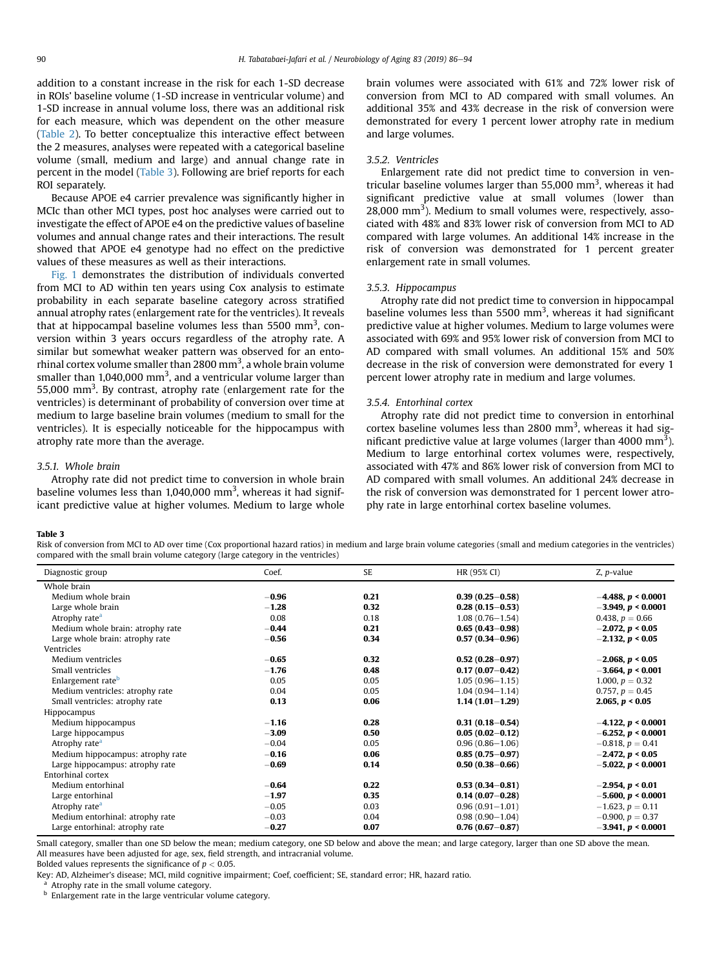addition to a constant increase in the risk for each 1-SD decrease in ROIs' baseline volume (1-SD increase in ventricular volume) and 1-SD increase in annual volume loss, there was an additional risk for each measure, which was dependent on the other measure [\(Table 2](#page-3-0)). To better conceptualize this interactive effect between the 2 measures, analyses were repeated with a categorical baseline volume (small, medium and large) and annual change rate in percent in the model (Table 3). Following are brief reports for each ROI separately.

Because APOE e4 carrier prevalence was significantly higher in MCIc than other MCI types, post hoc analyses were carried out to investigate the effect of APOE e4 on the predictive values of baseline volumes and annual change rates and their interactions. The result showed that APOE e4 genotype had no effect on the predictive values of these measures as well as their interactions.

[Fig. 1](#page-5-0) demonstrates the distribution of individuals converted from MCI to AD within ten years using Cox analysis to estimate probability in each separate baseline category across stratified annual atrophy rates (enlargement rate for the ventricles). It reveals that at hippocampal baseline volumes less than 5500 mm<sup>3</sup>, conversion within 3 years occurs regardless of the atrophy rate. A similar but somewhat weaker pattern was observed for an entorhinal cortex volume smaller than 2800 mm<sup>3</sup>, a whole brain volume smaller than 1,040,000 mm<sup>3</sup>, and a ventricular volume larger than 55,000 mm<sup>3</sup>. By contrast, atrophy rate (enlargement rate for the ventricles) is determinant of probability of conversion over time at medium to large baseline brain volumes (medium to small for the ventricles). It is especially noticeable for the hippocampus with atrophy rate more than the average.

#### 3.5.1. Whole brain

Atrophy rate did not predict time to conversion in whole brain baseline volumes less than 1,040,000 mm<sup>3</sup>, whereas it had significant predictive value at higher volumes. Medium to large whole brain volumes were associated with 61% and 72% lower risk of conversion from MCI to AD compared with small volumes. An additional 35% and 43% decrease in the risk of conversion were demonstrated for every 1 percent lower atrophy rate in medium and large volumes.

#### 3.5.2. Ventricles

Enlargement rate did not predict time to conversion in ventricular baseline volumes larger than 55,000 mm<sup>3</sup>, whereas it had significant predictive value at small volumes (lower than 28,000 mm<sup>3</sup>). Medium to small volumes were, respectively, associated with 48% and 83% lower risk of conversion from MCI to AD compared with large volumes. An additional 14% increase in the risk of conversion was demonstrated for 1 percent greater enlargement rate in small volumes.

#### 3.5.3. Hippocampus

Atrophy rate did not predict time to conversion in hippocampal baseline volumes less than 5500 mm<sup>3</sup>, whereas it had significant predictive value at higher volumes. Medium to large volumes were associated with 69% and 95% lower risk of conversion from MCI to AD compared with small volumes. An additional 15% and 50% decrease in the risk of conversion were demonstrated for every 1 percent lower atrophy rate in medium and large volumes.

#### 3.5.4. Entorhinal cortex

Atrophy rate did not predict time to conversion in entorhinal cortex baseline volumes less than 2800 mm<sup>3</sup>, whereas it had significant predictive value at large volumes (larger than 4000 mm<sup>3</sup>). Medium to large entorhinal cortex volumes were, respectively, associated with 47% and 86% lower risk of conversion from MCI to AD compared with small volumes. An additional 24% decrease in the risk of conversion was demonstrated for 1 percent lower atrophy rate in large entorhinal cortex baseline volumes.

#### Table 3

Risk of conversion from MCI to AD over time (Cox proportional hazard ratios) in medium and large brain volume categories (small and medium categories in the ventricles) compared with the small brain volume category (large category in the ventricles)

| Diagnostic group                 | Coef.   | <b>SE</b> | HR (95% CI)         | $Z$ , <i>p</i> -value   |  |  |  |
|----------------------------------|---------|-----------|---------------------|-------------------------|--|--|--|
| Whole brain                      |         |           |                     |                         |  |  |  |
| Medium whole brain               | $-0.96$ | 0.21      | $0.39(0.25 - 0.58)$ | $-4.488, p < 0.0001$    |  |  |  |
| Large whole brain                | $-1.28$ | 0.32      | $0.28(0.15 - 0.53)$ | $-3.949, p < 0.0001$    |  |  |  |
| Atrophy rate <sup>a</sup>        | 0.08    | 0.18      | $1.08(0.76 - 1.54)$ | 0.438, $p = 0.66$       |  |  |  |
| Medium whole brain: atrophy rate | $-0.44$ | 0.21      | $0.65(0.43 - 0.98)$ | $-2.072, p < 0.05$      |  |  |  |
| Large whole brain: atrophy rate  | $-0.56$ | 0.34      | $0.57(0.34 - 0.96)$ | $-2.132, p < 0.05$      |  |  |  |
| Ventricles                       |         |           |                     |                         |  |  |  |
| Medium ventricles                | $-0.65$ | 0.32      | $0.52(0.28 - 0.97)$ | $-2.068, p < 0.05$      |  |  |  |
| Small ventricles                 | $-1.76$ | 0.48      | $0.17(0.07 - 0.42)$ | $-3.664, p < 0.001$     |  |  |  |
| Enlargement rate <sup>b</sup>    | 0.05    | 0.05      | $1.05(0.96 - 1.15)$ | 1.000, $p = 0.32$       |  |  |  |
| Medium ventricles: atrophy rate  | 0.04    | 0.05      | $1.04(0.94 - 1.14)$ | 0.757, $p = 0.45$       |  |  |  |
| Small ventricles: atrophy rate   | 0.13    | 0.06      | $1.14(1.01-1.29)$   | 2.065, $p < 0.05$       |  |  |  |
| <b>Hippocampus</b>               |         |           |                     |                         |  |  |  |
| Medium hippocampus               | $-1.16$ | 0.28      | $0.31(0.18 - 0.54)$ | $-4.122$ , $p < 0.0001$ |  |  |  |
| Large hippocampus                | $-3.09$ | 0.50      | $0.05(0.02 - 0.12)$ | $-6.252$ , $p < 0.0001$ |  |  |  |
| Atrophy rate <sup>a</sup>        | $-0.04$ | 0.05      | $0.96(0.86 - 1.06)$ | $-0.818, p = 0.41$      |  |  |  |
| Medium hippocampus: atrophy rate | $-0.16$ | 0.06      | $0.85(0.75 - 0.97)$ | $-2.472, p < 0.05$      |  |  |  |
| Large hippocampus: atrophy rate  | $-0.69$ | 0.14      | $0.50(0.38 - 0.66)$ | $-5.022$ , $p < 0.0001$ |  |  |  |
| Entorhinal cortex                |         |           |                     |                         |  |  |  |
| Medium entorhinal                | $-0.64$ | 0.22      | $0.53(0.34 - 0.81)$ | $-2.954, p < 0.01$      |  |  |  |
| Large entorhinal                 | $-1.97$ | 0.35      | $0.14(0.07 - 0.28)$ | $-5.600, p < 0.0001$    |  |  |  |
| Atrophy rate <sup>a</sup>        | $-0.05$ | 0.03      | $0.96(0.91 - 1.01)$ | $-1.623, p = 0.11$      |  |  |  |
| Medium entorhinal: atrophy rate  | $-0.03$ | 0.04      | $0.98(0.90 - 1.04)$ | $-0.900, p = 0.37$      |  |  |  |
| Large entorhinal: atrophy rate   | $-0.27$ | 0.07      | $0.76(0.67 - 0.87)$ | $-3.941, p < 0.0001$    |  |  |  |

Small category, smaller than one SD below the mean; medium category, one SD below and above the mean; and large category, larger than one SD above the mean. All measures have been adjusted for age, sex, field strength, and intracranial volume.

Bolded values represents the significance of  $p < 0.05$ .

Key: AD, Alzheimer's disease; MCI, mild cognitive impairment; Coef, coefficient; SE, standard error; HR, hazard ratio.

Atrophy rate in the small volume category.

**b** Enlargement rate in the large ventricular volume category.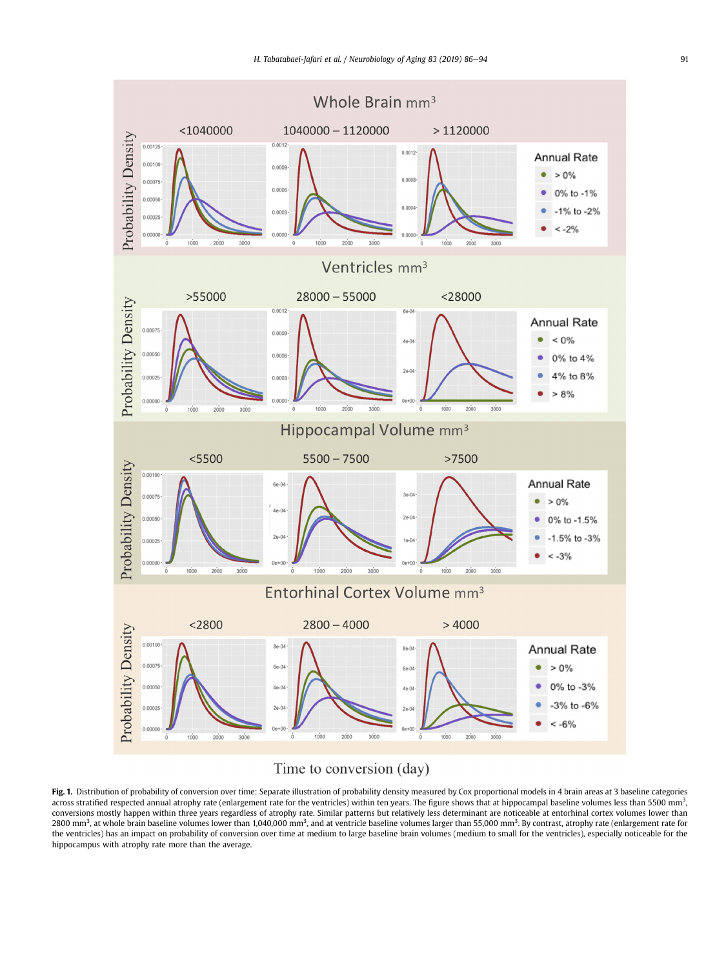<span id="page-5-0"></span>

# Time to conversion (day)

Fig. 1. Distribution of probability of conversion over time: Separate illustration of probability density measured by Cox proportional models in 4 brain areas at 3 baseline categories across stratified respected annual atrophy rate (enlargement rate for the ventricles) within ten years. The figure shows that at hippocampal baseline volumes less than 5500 mm<sup>3</sup>, conversions mostly happen within three years regardless of atrophy rate. Similar patterns but relatively less determinant are noticeable at entorhinal cortex volumes lower than 2800 mm<sup>3</sup>, at whole brain baseline volumes lower than 1,040,000 mm<sup>3</sup>, and at ventricle baseline volumes larger than 55,000 mm<sup>3</sup>. By contrast, atrophy rate (enlargement rate for the ventricles) has an impact on probability of conversion over time at medium to large baseline brain volumes (medium to small for the ventricles), especially noticeable for the hippocampus with atrophy rate more than the average.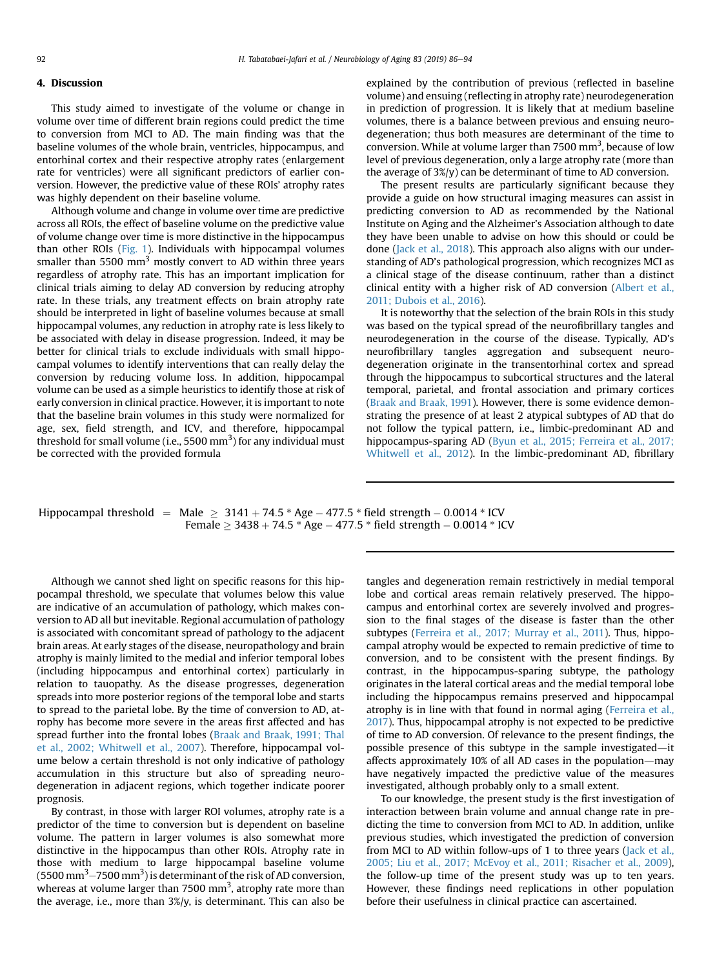## 4. Discussion

This study aimed to investigate of the volume or change in volume over time of different brain regions could predict the time to conversion from MCI to AD. The main finding was that the baseline volumes of the whole brain, ventricles, hippocampus, and entorhinal cortex and their respective atrophy rates (enlargement rate for ventricles) were all significant predictors of earlier conversion. However, the predictive value of these ROIs' atrophy rates was highly dependent on their baseline volume.

Although volume and change in volume over time are predictive across all ROIs, the effect of baseline volume on the predictive value of volume change over time is more distinctive in the hippocampus than other ROIs ([Fig. 1\)](#page-5-0). Individuals with hippocampal volumes smaller than 5500  $mm<sup>3</sup>$  mostly convert to AD within three years regardless of atrophy rate. This has an important implication for clinical trials aiming to delay AD conversion by reducing atrophy rate. In these trials, any treatment effects on brain atrophy rate should be interpreted in light of baseline volumes because at small hippocampal volumes, any reduction in atrophy rate is less likely to be associated with delay in disease progression. Indeed, it may be better for clinical trials to exclude individuals with small hippocampal volumes to identify interventions that can really delay the conversion by reducing volume loss. In addition, hippocampal volume can be used as a simple heuristics to identify those at risk of early conversion in clinical practice. However, it is important to note that the baseline brain volumes in this study were normalized for age, sex, field strength, and ICV, and therefore, hippocampal threshold for small volume (i.e., 5500  $\text{mm}^{3}$ ) for any individual must be corrected with the provided formula

explained by the contribution of previous (reflected in baseline volume) and ensuing (reflecting in atrophy rate) neurodegeneration in prediction of progression. It is likely that at medium baseline volumes, there is a balance between previous and ensuing neurodegeneration; thus both measures are determinant of the time to conversion. While at volume larger than 7500 mm<sup>3</sup>, because of low level of previous degeneration, only a large atrophy rate (more than the average of 3%/y) can be determinant of time to AD conversion.

The present results are particularly significant because they provide a guide on how structural imaging measures can assist in predicting conversion to AD as recommended by the National Institute on Aging and the Alzheimer's Association although to date they have been unable to advise on how this should or could be done [\(Jack et al., 2018\)](#page-7-0). This approach also aligns with our understanding of AD's pathological progression, which recognizes MCI as a clinical stage of the disease continuum, rather than a distinct clinical entity with a higher risk of AD conversion [\(Albert et al.,](#page-7-0) [2011; Dubois et al., 2016\)](#page-7-0).

It is noteworthy that the selection of the brain ROIs in this study was based on the typical spread of the neurofibrillary tangles and neurodegeneration in the course of the disease. Typically, AD's neurofibrillary tangles aggregation and subsequent neurodegeneration originate in the transentorhinal cortex and spread through the hippocampus to subcortical structures and the lateral temporal, parietal, and frontal association and primary cortices ([Braak and Braak, 1991](#page-7-0)). However, there is some evidence demonstrating the presence of at least 2 atypical subtypes of AD that do not follow the typical pattern, i.e., limbic-predominant AD and hippocampus-sparing AD ([Byun et al., 2015; Ferreira et al., 2017;](#page-7-0) [Whitwell et al., 2012\)](#page-7-0). In the limbic-predominant AD, fibrillary

Hippocampal threshold  $=$  Male  $>$  3141 + 74.5  $*$  Age  $-$  477.5  $*$  field strength  $-$  0.0014  $*$  ICV Female  $\geq 3438 + 74.5 *$  Age  $- 477.5 *$  field strength  $- 0.0014 *$  ICV

Although we cannot shed light on specific reasons for this hippocampal threshold, we speculate that volumes below this value are indicative of an accumulation of pathology, which makes conversion to AD all but inevitable. Regional accumulation of pathology is associated with concomitant spread of pathology to the adjacent brain areas. At early stages of the disease, neuropathology and brain atrophy is mainly limited to the medial and inferior temporal lobes (including hippocampus and entorhinal cortex) particularly in relation to tauopathy. As the disease progresses, degeneration spreads into more posterior regions of the temporal lobe and starts to spread to the parietal lobe. By the time of conversion to AD, atrophy has become more severe in the areas first affected and has spread further into the frontal lobes ([Braak and Braak, 1991; Thal](#page-7-0) [et al., 2002; Whitwell et al., 2007\)](#page-7-0). Therefore, hippocampal volume below a certain threshold is not only indicative of pathology accumulation in this structure but also of spreading neurodegeneration in adjacent regions, which together indicate poorer prognosis.

By contrast, in those with larger ROI volumes, atrophy rate is a predictor of the time to conversion but is dependent on baseline volume. The pattern in larger volumes is also somewhat more distinctive in the hippocampus than other ROIs. Atrophy rate in those with medium to large hippocampal baseline volume (5500 mm $^3-$ 7500 mm $^3$ ) is determinant of the risk of AD conversion, whereas at volume larger than 7500 mm $^3$ , atrophy rate more than the average, i.e., more than 3%/y, is determinant. This can also be

tangles and degeneration remain restrictively in medial temporal lobe and cortical areas remain relatively preserved. The hippocampus and entorhinal cortex are severely involved and progression to the final stages of the disease is faster than the other subtypes ([Ferreira et al., 2017; Murray et al., 2011\)](#page-7-0). Thus, hippocampal atrophy would be expected to remain predictive of time to conversion, and to be consistent with the present findings. By contrast, in the hippocampus-sparing subtype, the pathology originates in the lateral cortical areas and the medial temporal lobe including the hippocampus remains preserved and hippocampal atrophy is in line with that found in normal aging ([Ferreira et al.,](#page-7-0) [2017\)](#page-7-0). Thus, hippocampal atrophy is not expected to be predictive of time to AD conversion. Of relevance to the present findings, the possible presence of this subtype in the sample investigated—it affects approximately  $10\%$  of all AD cases in the population-may have negatively impacted the predictive value of the measures investigated, although probably only to a small extent.

To our knowledge, the present study is the first investigation of interaction between brain volume and annual change rate in predicting the time to conversion from MCI to AD. In addition, unlike previous studies, which investigated the prediction of conversion from MCI to AD within follow-ups of 1 to three years ([Jack et al.,](#page-7-0) [2005; Liu et al., 2017; McEvoy et al., 2011; Risacher et al., 2009\)](#page-7-0), the follow-up time of the present study was up to ten years. However, these findings need replications in other population before their usefulness in clinical practice can ascertained.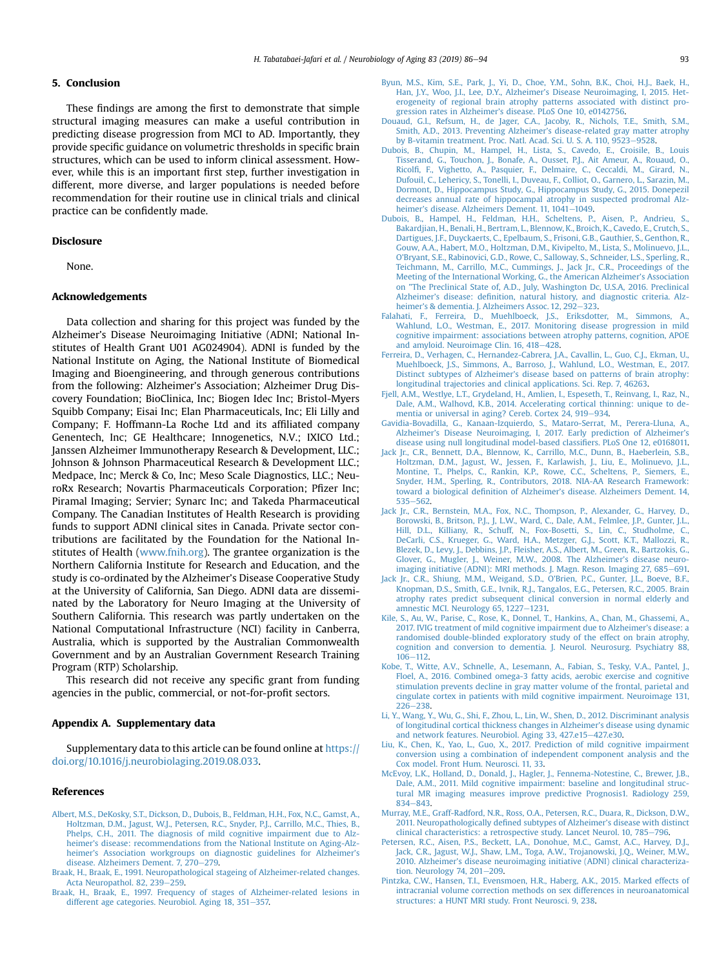## <span id="page-7-0"></span>5. Conclusion

These findings are among the first to demonstrate that simple structural imaging measures can make a useful contribution in predicting disease progression from MCI to AD. Importantly, they provide specific guidance on volumetric thresholds in specific brain structures, which can be used to inform clinical assessment. However, while this is an important first step, further investigation in different, more diverse, and larger populations is needed before recommendation for their routine use in clinical trials and clinical practice can be confidently made.

#### Disclosure

None.

## Acknowledgements

Data collection and sharing for this project was funded by the Alzheimer's Disease Neuroimaging Initiative (ADNI; National Institutes of Health Grant U01 AG024904). ADNI is funded by the National Institute on Aging, the National Institute of Biomedical Imaging and Bioengineering, and through generous contributions from the following: Alzheimer's Association; Alzheimer Drug Discovery Foundation; BioClinica, Inc; Biogen Idec Inc; Bristol-Myers Squibb Company; Eisai Inc; Elan Pharmaceuticals, Inc; Eli Lilly and Company; F. Hoffmann-La Roche Ltd and its affiliated company Genentech, Inc; GE Healthcare; Innogenetics, N.V.; IXICO Ltd.; Janssen Alzheimer Immunotherapy Research & Development, LLC.; Johnson & Johnson Pharmaceutical Research & Development LLC.; Medpace, Inc; Merck & Co, Inc; Meso Scale Diagnostics, LLC.; NeuroRx Research; Novartis Pharmaceuticals Corporation; Pfizer Inc; Piramal Imaging; Servier; Synarc Inc; and Takeda Pharmaceutical Company. The Canadian Institutes of Health Research is providing funds to support ADNI clinical sites in Canada. Private sector contributions are facilitated by the Foundation for the National Institutes of Health [\(www.fnih.org\)](http://www.fnih.org). The grantee organization is the Northern California Institute for Research and Education, and the study is co-ordinated by the Alzheimer's Disease Cooperative Study at the University of California, San Diego. ADNI data are disseminated by the Laboratory for Neuro Imaging at the University of Southern California. This research was partly undertaken on the National Computational Infrastructure (NCI) facility in Canberra, Australia, which is supported by the Australian Commonwealth Government and by an Australian Government Research Training Program (RTP) Scholarship.

This research did not receive any specific grant from funding agencies in the public, commercial, or not-for-profit sectors.

## Appendix A. Supplementary data

Supplementary data to this article can be found online at [https://](https://doi.org/10.1016/j.neurobiolaging.2019.08.033) [doi.org/10.1016/j.neurobiolaging.2019.08.033](https://doi.org/10.1016/j.neurobiolaging.2019.08.033).

## References

- [Albert, M.S., DeKosky, S.T., Dickson, D., Dubois, B., Feldman, H.H., Fox, N.C., Gamst, A.,](http://refhub.elsevier.com/S0197-4580(19)30319-7/sref1) [Holtzman, D.M., Jagust, W.J., Petersen, R.C., Snyder, P.J., Carrillo, M.C., Thies, B.,](http://refhub.elsevier.com/S0197-4580(19)30319-7/sref1) [Phelps, C.H., 2011. The diagnosis of mild cognitive impairment due to Alz](http://refhub.elsevier.com/S0197-4580(19)30319-7/sref1)heimer'[s disease: recommendations from the National Institute on Aging-Alz](http://refhub.elsevier.com/S0197-4580(19)30319-7/sref1)heimer'[s Association workgroups on diagnostic guidelines for Alzheimer](http://refhub.elsevier.com/S0197-4580(19)30319-7/sref1)'s [disease. Alzheimers Dement. 7, 270](http://refhub.elsevier.com/S0197-4580(19)30319-7/sref1)-[279.](http://refhub.elsevier.com/S0197-4580(19)30319-7/sref1)
- [Braak, H., Braak, E., 1991. Neuropathological stageing of Alzheimer-related changes.](http://refhub.elsevier.com/S0197-4580(19)30319-7/sref2) [Acta Neuropathol. 82, 239](http://refhub.elsevier.com/S0197-4580(19)30319-7/sref2)-[259.](http://refhub.elsevier.com/S0197-4580(19)30319-7/sref2)
- [Braak, H., Braak, E., 1997. Frequency of stages of Alzheimer-related lesions in](http://refhub.elsevier.com/S0197-4580(19)30319-7/sref3) [different age categories. Neurobiol. Aging 18, 351](http://refhub.elsevier.com/S0197-4580(19)30319-7/sref3)-[357.](http://refhub.elsevier.com/S0197-4580(19)30319-7/sref3)
- [Byun, M.S., Kim, S.E., Park, J., Yi, D., Choe, Y.M., Sohn, B.K., Choi, H.J., Baek, H.,](http://refhub.elsevier.com/S0197-4580(19)30319-7/sref4) [Han, J.Y., Woo, J.I., Lee, D.Y., Alzheimer](http://refhub.elsevier.com/S0197-4580(19)30319-7/sref4)'s Disease Neuroimaging, I, 2015. Het[erogeneity of regional brain atrophy patterns associated with distinct pro](http://refhub.elsevier.com/S0197-4580(19)30319-7/sref4)gression rates in Alzheimer'[s disease. PLoS One 10, e0142756.](http://refhub.elsevier.com/S0197-4580(19)30319-7/sref4)
- [Douaud, G.l., Refsum, H., de Jager, C.A., Jacoby, R., Nichols, T.E., Smith, S.M.,](http://refhub.elsevier.com/S0197-4580(19)30319-7/sref5) [Smith, A.D., 2013. Preventing Alzheimer](http://refhub.elsevier.com/S0197-4580(19)30319-7/sref5)'s disease-related gray matter atrophy [by B-vitamin treatment. Proc. Natl. Acad. Sci. U. S. A. 110, 9523](http://refhub.elsevier.com/S0197-4580(19)30319-7/sref5)-[9528.](http://refhub.elsevier.com/S0197-4580(19)30319-7/sref5)
- [Dubois, B., Chupin, M., Hampel, H., Lista, S., Cavedo, E., Croisile, B., Louis](http://refhub.elsevier.com/S0197-4580(19)30319-7/sref6) [Tisserand, G., Touchon, J., Bonafe, A., Ousset, P.J., Ait Ameur, A., Rouaud, O.,](http://refhub.elsevier.com/S0197-4580(19)30319-7/sref6) Ricolfi[, F., Vighetto, A., Pasquier, F., Delmaire, C., Ceccaldi, M., Girard, N.,](http://refhub.elsevier.com/S0197-4580(19)30319-7/sref6) [Dufouil, C., Lehericy, S., Tonelli, I., Duveau, F., Colliot, O., Garnero, L., Sarazin, M.,](http://refhub.elsevier.com/S0197-4580(19)30319-7/sref6) [Dormont, D., Hippocampus Study, G., Hippocampus Study, G., 2015. Donepezil](http://refhub.elsevier.com/S0197-4580(19)30319-7/sref6) [decreases annual rate of hippocampal atrophy in suspected prodromal Alz](http://refhub.elsevier.com/S0197-4580(19)30319-7/sref6)heimer'[s disease. Alzheimers Dement. 11, 1041](http://refhub.elsevier.com/S0197-4580(19)30319-7/sref6)-[1049.](http://refhub.elsevier.com/S0197-4580(19)30319-7/sref6)
- Dubois, B., Hampel, H., Feldman, H.H., Scheltens, P., Aisen, P., Andrieu, [Bakardjian, H., Benali, H., Bertram, L., Blennow, K., Broich, K., Cavedo, E., Crutch, S.,](http://refhub.elsevier.com/S0197-4580(19)30319-7/sref7) [Dartigues, J.F., Duyckaerts, C., Epelbaum, S., Frisoni, G.B., Gauthier, S., Genthon, R.,](http://refhub.elsevier.com/S0197-4580(19)30319-7/sref7) [Gouw, A.A., Habert, M.O., Holtzman, D.M., Kivipelto, M., Lista, S., Molinuevo, J.L.,](http://refhub.elsevier.com/S0197-4580(19)30319-7/sref7) O'[Bryant, S.E., Rabinovici, G.D., Rowe, C., Salloway, S., Schneider, L.S., Sperling, R.,](http://refhub.elsevier.com/S0197-4580(19)30319-7/sref7) [Teichmann, M., Carrillo, M.C., Cummings, J., Jack Jr., C.R., Proceedings of the](http://refhub.elsevier.com/S0197-4580(19)30319-7/sref7) [Meeting of the International Working, G., the American Alzheimer](http://refhub.elsevier.com/S0197-4580(19)30319-7/sref7)'s Association [on "The Preclinical State of, A.D., July, Washington Dc, U.S.A, 2016. Preclinical](http://refhub.elsevier.com/S0197-4580(19)30319-7/sref7) Alzheimer's disease: defi[nition, natural history, and diagnostic criteria. Alz](http://refhub.elsevier.com/S0197-4580(19)30319-7/sref7)heimer'[s & dementia. J. Alzheimers Assoc. 12, 292](http://refhub.elsevier.com/S0197-4580(19)30319-7/sref7)–[323.](http://refhub.elsevier.com/S0197-4580(19)30319-7/sref7)
- [Falahati, F., Ferreira, D., Muehlboeck, J.S., Eriksdotter, M., Simmons, A.,](http://refhub.elsevier.com/S0197-4580(19)30319-7/sref8) [Wahlund, L.O., Westman, E., 2017. Monitoring disease progression in mild](http://refhub.elsevier.com/S0197-4580(19)30319-7/sref8) [cognitive impairment: associations between atrophy patterns, cognition, APOE](http://refhub.elsevier.com/S0197-4580(19)30319-7/sref8) [and amyloid. Neuroimage Clin. 16, 418](http://refhub.elsevier.com/S0197-4580(19)30319-7/sref8)-[428.](http://refhub.elsevier.com/S0197-4580(19)30319-7/sref8)
- [Ferreira, D., Verhagen, C., Hernandez-Cabrera, J.A., Cavallin, L., Guo, C.J., Ekman, U.,](http://refhub.elsevier.com/S0197-4580(19)30319-7/sref9) [Muehlboeck, J.S., Simmons, A., Barroso, J., Wahlund, L.O., Westman, E., 2017.](http://refhub.elsevier.com/S0197-4580(19)30319-7/sref9) Distinct subtypes of Alzheimer'[s disease based on patterns of brain atrophy:](http://refhub.elsevier.com/S0197-4580(19)30319-7/sref9) [longitudinal trajectories and clinical applications. Sci. Rep. 7, 46263.](http://refhub.elsevier.com/S0197-4580(19)30319-7/sref9)
- [Fjell, A.M., Westlye, L.T., Grydeland, H., Amlien, I., Espeseth, T., Reinvang, I., Raz, N.,](http://refhub.elsevier.com/S0197-4580(19)30319-7/sref10) [Dale, A.M., Walhovd, K.B., 2014. Accelerating cortical thinning: unique to de](http://refhub.elsevier.com/S0197-4580(19)30319-7/sref10)[mentia or universal in aging? Cereb. Cortex 24, 919](http://refhub.elsevier.com/S0197-4580(19)30319-7/sref10)-[934.](http://refhub.elsevier.com/S0197-4580(19)30319-7/sref10)
- [Gavidia-Bovadilla, G., Kanaan-Izquierdo, S., Mataro-Serrat, M., Perera-Lluna, A.,](http://refhub.elsevier.com/S0197-4580(19)30319-7/sref11) Alzheimer'[s Disease Neuroimaging, I, 2017. Early prediction of Alzheimer](http://refhub.elsevier.com/S0197-4580(19)30319-7/sref11)'s [disease using null longitudinal model-based classi](http://refhub.elsevier.com/S0197-4580(19)30319-7/sref11)fiers. PLoS One 12, e0168011.
- [Jack Jr., C.R., Bennett, D.A., Blennow, K., Carrillo, M.C., Dunn, B., Haeberlein, S.B.,](http://refhub.elsevier.com/S0197-4580(19)30319-7/sref12) [Holtzman, D.M., Jagust, W., Jessen, F., Karlawish, J., Liu, E., Molinuevo, J.L.,](http://refhub.elsevier.com/S0197-4580(19)30319-7/sref12) [Montine, T., Phelps, C., Rankin, K.P., Rowe, C.C., Scheltens, P., Siemers, E.,](http://refhub.elsevier.com/S0197-4580(19)30319-7/sref12) [Snyder, H.M., Sperling, R., Contributors, 2018. NIA-AA Research Framework:](http://refhub.elsevier.com/S0197-4580(19)30319-7/sref12) toward a biological definition of Alzheimer'[s disease. Alzheimers Dement. 14,](http://refhub.elsevier.com/S0197-4580(19)30319-7/sref12)  $535 - 562.$  $535 - 562.$  $535 - 562.$
- [Jack Jr., C.R., Bernstein, M.A., Fox, N.C., Thompson, P., Alexander, G., Harvey, D.,](http://refhub.elsevier.com/S0197-4580(19)30319-7/sref13) [Borowski, B., Britson, P.J., J, L.W., Ward, C., Dale, A.M., Felmlee, J.P., Gunter, J.L.,](http://refhub.elsevier.com/S0197-4580(19)30319-7/sref13) [Hill, D.L., Killiany, R., Schuff, N., Fox-Bosetti, S., Lin, C., Studholme, C.,](http://refhub.elsevier.com/S0197-4580(19)30319-7/sref13) [DeCarli, C.S., Krueger, G., Ward, H.A., Metzger, G.J., Scott, K.T., Mallozzi, R.,](http://refhub.elsevier.com/S0197-4580(19)30319-7/sref13) [Blezek, D., Levy, J., Debbins, J.P., Fleisher, A.S., Albert, M., Green, R., Bartzokis, G.,](http://refhub.elsevier.com/S0197-4580(19)30319-7/sref13) [Glover, G., Mugler, J., Weiner, M.W., 2008. The Alzheimer](http://refhub.elsevier.com/S0197-4580(19)30319-7/sref13)'s disease neuro[imaging initiative \(ADNI\): MRI methods. J. Magn. Reson. Imaging 27, 685](http://refhub.elsevier.com/S0197-4580(19)30319-7/sref13)–[691.](http://refhub.elsevier.com/S0197-4580(19)30319-7/sref13)
- [Jack Jr., C.R., Shiung, M.M., Weigand, S.D., O](http://refhub.elsevier.com/S0197-4580(19)30319-7/sref14)'Brien, P.C., Gunter, J.L., Boeve, B.F., [Knopman, D.S., Smith, G.E., Ivnik, R.J., Tangalos, E.G., Petersen, R.C., 2005. Brain](http://refhub.elsevier.com/S0197-4580(19)30319-7/sref14) [atrophy rates predict subsequent clinical conversion in normal elderly and](http://refhub.elsevier.com/S0197-4580(19)30319-7/sref14) [amnestic MCI. Neurology 65, 1227](http://refhub.elsevier.com/S0197-4580(19)30319-7/sref14)-[1231.](http://refhub.elsevier.com/S0197-4580(19)30319-7/sref14)
- [Kile, S., Au, W., Parise, C., Rose, K., Donnel, T., Hankins, A., Chan, M., Ghassemi, A.,](http://refhub.elsevier.com/S0197-4580(19)30319-7/sref15) [2017. IVIG treatment of mild cognitive impairment due to Alzheimer](http://refhub.elsevier.com/S0197-4580(19)30319-7/sref15)'s disease: a [randomised double-blinded exploratory study of the effect on brain atrophy,](http://refhub.elsevier.com/S0197-4580(19)30319-7/sref15) [cognition and conversion to dementia. J. Neurol. Neurosurg. Psychiatry 88,](http://refhub.elsevier.com/S0197-4580(19)30319-7/sref15)  $106 - 112$  $106 - 112$  $106 - 112$
- [Kobe, T., Witte, A.V., Schnelle, A., Lesemann, A., Fabian, S., Tesky, V.A., Pantel, J.,](http://refhub.elsevier.com/S0197-4580(19)30319-7/sref16) [Floel, A., 2016. Combined omega-3 fatty acids, aerobic exercise and cognitive](http://refhub.elsevier.com/S0197-4580(19)30319-7/sref16) [stimulation prevents decline in gray matter volume of the frontal, parietal and](http://refhub.elsevier.com/S0197-4580(19)30319-7/sref16) [cingulate cortex in patients with mild cognitive impairment. Neuroimage 131,](http://refhub.elsevier.com/S0197-4580(19)30319-7/sref16)  $226 - 238$  $226 - 238$ .
- [Li, Y., Wang, Y., Wu, G., Shi, F., Zhou, L., Lin, W., Shen, D., 2012. Discriminant analysis](http://refhub.elsevier.com/S0197-4580(19)30319-7/sref17) [of longitudinal cortical thickness changes in Alzheimer](http://refhub.elsevier.com/S0197-4580(19)30319-7/sref17)'s disease using dynamic [and network features. Neurobiol. Aging 33, 427.e15](http://refhub.elsevier.com/S0197-4580(19)30319-7/sref17)-[427.e30.](http://refhub.elsevier.com/S0197-4580(19)30319-7/sref17)
- [Liu, K., Chen, K., Yao, L., Guo, X., 2017. Prediction of mild cognitive impairment](http://refhub.elsevier.com/S0197-4580(19)30319-7/sref18) [conversion using a combination of independent component analysis and the](http://refhub.elsevier.com/S0197-4580(19)30319-7/sref18) [Cox model. Front Hum. Neurosci. 11, 33](http://refhub.elsevier.com/S0197-4580(19)30319-7/sref18).
- [McEvoy, L.K., Holland, D., Donald, J., Hagler, J., Fennema-Notestine, C., Brewer, J.B.,](http://refhub.elsevier.com/S0197-4580(19)30319-7/sref19) [Dale, A.M., 2011. Mild cognitive impairment: baseline and longitudinal struc](http://refhub.elsevier.com/S0197-4580(19)30319-7/sref19)[tural MR imaging measures improve predictive Prognosis1. Radiology 259,](http://refhub.elsevier.com/S0197-4580(19)30319-7/sref19) [834](http://refhub.elsevier.com/S0197-4580(19)30319-7/sref19)-[843.](http://refhub.elsevier.com/S0197-4580(19)30319-7/sref19)
- [Murray, M.E., Graff-Radford, N.R., Ross, O.A., Petersen, R.C., Duara, R., Dickson, D.W.,](http://refhub.elsevier.com/S0197-4580(19)30319-7/sref20) [2011. Neuropathologically de](http://refhub.elsevier.com/S0197-4580(19)30319-7/sref20)fined subtypes of Alzheimer's disease with distinct [clinical characteristics: a retrospective study. Lancet Neurol. 10, 785](http://refhub.elsevier.com/S0197-4580(19)30319-7/sref20)-[796.](http://refhub.elsevier.com/S0197-4580(19)30319-7/sref20)
- [Petersen, R.C., Aisen, P.S., Beckett, L.A., Donohue, M.C., Gamst, A.C., Harvey, D.J.,](http://refhub.elsevier.com/S0197-4580(19)30319-7/sref21) [Jack, C.R., Jagust, W.J., Shaw, L.M., Toga, A.W., Trojanowski, J.Q., Weiner, M.W.,](http://refhub.elsevier.com/S0197-4580(19)30319-7/sref21) 2010. Alzheimer'[s disease neuroimaging initiative \(ADNI\) clinical characteriza](http://refhub.elsevier.com/S0197-4580(19)30319-7/sref21)tion. Neurology  $74.201-209$ .
- [Pintzka, C.W., Hansen, T.I., Evensmoen, H.R., Haberg, A.K., 2015. Marked effects of](http://refhub.elsevier.com/S0197-4580(19)30319-7/sref22) [intracranial volume correction methods on sex differences in neuroanatomical](http://refhub.elsevier.com/S0197-4580(19)30319-7/sref22) [structures: a HUNT MRI study. Front Neurosci. 9, 238.](http://refhub.elsevier.com/S0197-4580(19)30319-7/sref22)